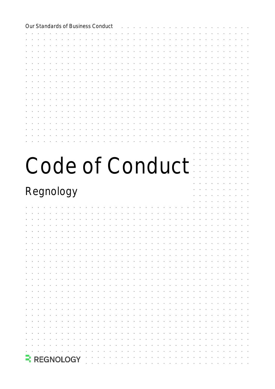| Our Standards of Business Conduct |  |  |  |
|-----------------------------------|--|--|--|
|                                   |  |  |  |
|                                   |  |  |  |
|                                   |  |  |  |
|                                   |  |  |  |
|                                   |  |  |  |
|                                   |  |  |  |
|                                   |  |  |  |
|                                   |  |  |  |
|                                   |  |  |  |
|                                   |  |  |  |
|                                   |  |  |  |
|                                   |  |  |  |
|                                   |  |  |  |
|                                   |  |  |  |
| Code of Conduct                   |  |  |  |
|                                   |  |  |  |
|                                   |  |  |  |
| Regnology                         |  |  |  |
|                                   |  |  |  |
|                                   |  |  |  |
|                                   |  |  |  |
|                                   |  |  |  |
|                                   |  |  |  |
|                                   |  |  |  |
|                                   |  |  |  |
|                                   |  |  |  |
|                                   |  |  |  |
|                                   |  |  |  |
|                                   |  |  |  |
|                                   |  |  |  |
|                                   |  |  |  |
|                                   |  |  |  |
|                                   |  |  |  |
|                                   |  |  |  |
|                                   |  |  |  |
|                                   |  |  |  |
| <b>REGNOLOGY</b>                  |  |  |  |
|                                   |  |  |  |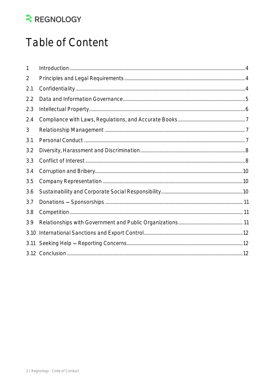## Table of Content

| 1    |  |
|------|--|
| 2    |  |
| 2.1  |  |
| 2.2  |  |
| 2.3  |  |
| 2.4  |  |
| 3    |  |
| 3.1  |  |
| 3.2  |  |
| 3.3  |  |
| 3.4  |  |
| 3.5  |  |
| 3.6  |  |
| 3.7  |  |
| 3.8  |  |
| 3.9  |  |
| 3.10 |  |
| 3.11 |  |
|      |  |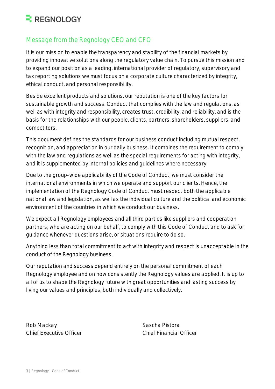#### Message from the Regnology CEO and CFO

It is our mission to enable the transparency and stability of the financial markets by providing innovative solutions along the regulatory value chain. To pursue this mission and to expand our position as a leading, international provider of regulatory, supervisory and tax reporting solutions we must focus on a corporate culture characterized by integrity, ethical conduct, and personal responsibility.

Beside excellent products and solutions, our reputation is one of the key factors for sustainable growth and success. Conduct that complies with the law and regulations, as well as with integrity and responsibility, creates trust, credibility, and reliability, and is the basis for the relationships with our people, clients, partners, shareholders, suppliers, and competitors.

This document defines the standards for our business conduct including mutual respect, recognition, and appreciation in our daily business. It combines the requirement to comply with the law and regulations as well as the special requirements for acting with integrity, and it is supplemented by internal policies and guidelines where necessary.

Due to the group-wide applicability of the Code of Conduct, we must consider the international environments in which we operate and support our clients. Hence, the implementation of the Regnology Code of Conduct must respect both the applicable national law and legislation, as well as the individual culture and the political and economic environment of the countries in which we conduct our business.

We expect all Regnology employees and all third parties like suppliers and cooperation partners, who are acting on our behalf, to comply with this Code of Conduct and to ask for guidance whenever questions arise, or situations require to do so.

Anything less than total commitment to act with integrity and respect is unacceptable in the conduct of the Regnology business.

Our reputation and success depend entirely on the personal commitment of each Regnology employee and on how consistently the Regnology values are applied. It is up to all of us to shape the Regnology future with great opportunities and lasting success by living our values and principles, both individually and collectively.

<span id="page-2-0"></span>Rob Mackay Sascha Pistora Chief Executive Officer Chief Financial Officer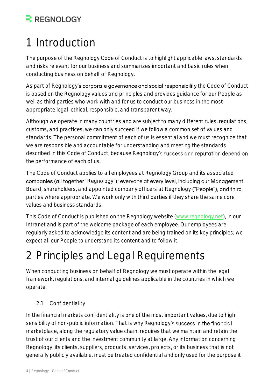# 1 Introduction

The purpose of the Regnology Code of Conduct is to highlight applicable laws, standards and risks relevant for our business and summarizes important and basic rules when conducting business on behalf of Regnology.

As part of Regnology's corporate governance and social responsibility the Code of Conduct is based on the Regnology values and principles and provides guidance for our People as well as third parties who work with and for us to conduct our business in the most appropriate legal, ethical, responsible, and transparent way.

Although we operate in many countries and are subject to many different rules, regulations, customs, and practices, we can only succeed if we follow a common set of values and standards. The personal commitment of each of us is essential and we must recognize that we are responsible and accountable for understanding and meeting the standards described in this Code of Conduct, because Regnology's success and reputation depend on the performance of each of us.

The Code of Conduct applies to all employees at Regnology Group and its associated companies (all together "Regnology"); everyone at every level, including our Management Board, shareholders, and appointed company officers at Regnology ("People"), and third parties where appropriate. We work only with third parties if they share the same core values and business standards.

This Code of Conduct is published on the Regnology website [\(www.regnology.net\)](http://www.regnology.net/), in our Intranet and is part of the welcome package of each employee. Our employees are regularly asked to acknowledge its content and are being trained on its key principles; we expect all our People to understand its content and to follow it.

## <span id="page-3-0"></span>2 Principles and Legal Requirements

When conducting business on behalf of Regnology we must operate within the legal framework, regulations, and internal guidelines applicable in the countries in which we operate.

#### <span id="page-3-1"></span>2.1 Confidentiality

In the financial markets confidentiality is one of the most important values, due to high sensibility of non-public information. That is why Regnology's success in the financial marketplace, along the regulatory value chain, requires that we maintain and retain the trust of our clients and the investment community at large. Any information concerning Regnology, its clients, suppliers, products, services, projects, or its business that is not generally publicly available, must be treated confidential and only used for the purpose it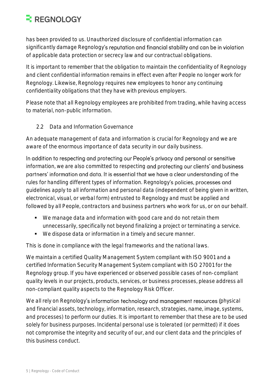has been provided to us. Unauthorized disclosure of confidential information can significantly damage Regnology's reputation and financial stability and can be in violation of applicable data protection or secrecy law and our contractual obligations.

It is important to remember that the obligation to maintain the confidentiality of Regnology and client confidential information remains in effect even after People no longer work for Regnology. Likewise, Regnology requires new employees to honor any continuing confidentiality obligations that they have with previous employers.

Please note that all Regnology employees are prohibited from trading, while having access to material, non-public information.

<span id="page-4-0"></span>2.2 Data and Information Governance

An adequate management of data and information is crucial for Regnology and we are aware of the enormous importance of data security in our daily business.

In addition to respecting and protecting our People's privacy and personal or sensitive information, we are also committed to respecting and protecting our clients' and business partners' information and data. It is essential that we have a clear understanding of the rules for handling different types of information. Regnology's policies, processes and guidelines apply to all information and personal data (independent of being given in written, electronical, visual, or verbal form) entrusted to Regnology and must be applied and followed by all People, contractors and business partners who work for us, or on our behalf.

- We manage data and information with good care and do not retain them unnecessarily, specifically not beyond finalizing a project or terminating a service.
- We dispose data or information in a timely and secure manner.

This is done in compliance with the legal frameworks and the national laws.

We maintain a certified Quality Management System compliant with ISO 9001 and a certified Information Security Management System compliant with ISO 27001 for the Regnology group. If you have experienced or observed possible cases of non-compliant quality levels in our projects, products, services, or business processes, please address all non-compliant quality aspects to the Regnology Risk Officer.

We all rely on Regnology's information technology and management resources (physical and financial assets, technology, information, research, strategies, name, image, systems, and processes) to perform our duties. It is important to remember that these are to be used solely for business purposes. Incidental personal use is tolerated (or permitted) if it does not compromise the integrity and security of our, and our client data and the principles of this business conduct.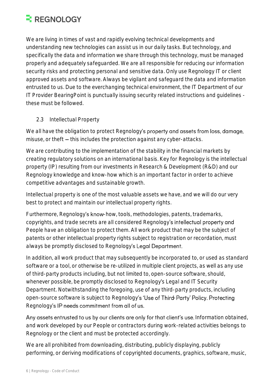We are living in times of vast and rapidly evolving technical developments and understanding new technologies can assist us in our daily tasks. But technology, and specifically the data and information we share through this technology, must be managed properly and adequately safeguarded. We are all responsible for reducing our information security risks and protecting personal and sensitive data. Only use Regnology IT or client approved assets and software. Always be vigilant and safeguard the data and information entrusted to us. Due to the everchanging technical environment, the IT Department of our IT Provider BearingPoint is punctually issuing security related instructions and guidelines these must be followed.

#### <span id="page-5-0"></span>2.3 Intellectual Property

We all have the obligation to protect Regnology's property and assets from loss, damage, misuse, or theft  $-$  this includes the protection against any cyber-attacks.

We are contributing to the implementation of the stability in the financial markets by creating regulatory solutions on an international basis. Key for Regnology is the intellectual property (IP) resulting from our investments in Research & Development (R&D) and our Regnology knowledge and know-how which is an important factor in order to achieve competitive advantages and sustainable growth.

Intellectual property is one of the most valuable assets we have, and we will do our very best to protect and maintain our intellectual property rights.

Furthermore, Regnology's know-how, tools, methodologies, patents, trademarks, copyrights, and trade secrets are all considered Regnology's intellectual property and People have an obligation to protect them. All work product that may be the subject of patents or other intellectual property rights subject to registration or recordation, must always be promptly disclosed to Regnology's Legal Department.

In addition, all work product that may subsequently be incorporated to, or used as standard software or a tool, or otherwise be re-utilized in multiple client projects, as well as any use of third-party products including, but not limited to, open-source software, should, whenever possible, be promptly disclosed to Regnology's Legal and IT Security Department. Notwithstanding the foregoing, use of any third-party products, including open-source software is subject to Regnology's 'Use of Third-Party' Policy. Protecting Regnology's IP needs commitment from all of us.

Any assets entrusted to us by our clients are only for that client's use. Information obtained, and work developed by our People or contractors during work-related activities belongs to Regnology or the client and must be protected accordingly.

We are all prohibited from downloading, distributing, publicly displaying, publicly performing, or deriving modifications of copyrighted documents, graphics, software, music,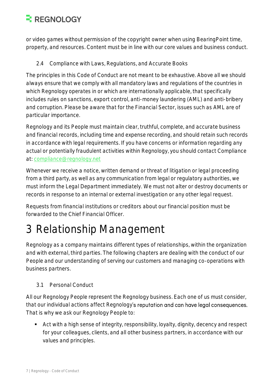or video games without permission of the copyright owner when using BearingPoint time, property, and resources. Content must be in line with our core values and business conduct.

<span id="page-6-0"></span>2.4 Compliance with Laws, Regulations, and Accurate Books

The principles in this Code of Conduct are not meant to be exhaustive. Above all we should always ensure that we comply with all mandatory laws and regulations of the countries in which Regnology operates in or which are internationally applicable, that specifically includes rules on sanctions, export control, anti-money laundering (AML) and anti-bribery and corruption. Please be aware that for the Financial Sector, issues such as AML are of particular importance.

Regnology and its People must maintain clear, truthful, complete, and accurate business and financial records, including time and expense recording, and should retain such records in accordance with legal requirements. If you have concerns or information regarding any actual or potentially fraudulent activities within Regnology, you should contact Compliance at: [compliance@regnology.net](mailto:compliance@regnology.net)

Whenever we receive a notice, written demand or threat of litigation or legal proceeding from a third party, as well as any communication from legal or regulatory authorities, we must inform the Legal Department immediately. We must not alter or destroy documents or records in response to an internal or external investigation or any other legal request.

Requests from financial institutions or creditors about our financial position must be forwarded to the Chief Financial Officer.

## <span id="page-6-1"></span>3 Relationship Management

Regnology as a company maintains different types of relationships, within the organization and with external, third parties. The following chapters are dealing with the conduct of our People and our understanding of serving our customers and managing co-operations with business partners.

#### <span id="page-6-2"></span>3.1 Personal Conduct

All our Regnology People represent the Regnology business. Each one of us must consider, that our individual actions affect Regnology's reputation and can have legal consequences. That is why we ask our Regnology People to:

■ Act with a high sense of integrity, responsibility, loyalty, dignity, decency and respect for your colleagues, clients, and all other business partners, in accordance with our values and principles.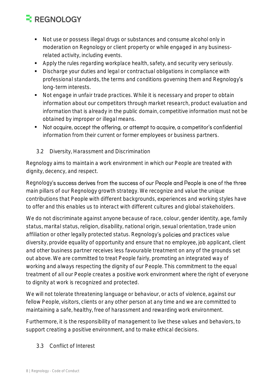- Not use or possess illegal drugs or substances and consume alcohol only in moderation on Regnology or client property or while engaged in any businessrelated activity, including events.
- Apply the rules regarding workplace health, safety, and security very seriously.
- Discharge your duties and legal or contractual obligations in compliance with professional standards, the terms and conditions governing them and Regnology long-term interests.
- Not engage in unfair trade practices. While it is necessary and proper to obtain information about our competitors through market research, product evaluation and information that is already in the public domain, competitive information must not be obtained by improper or illegal means.
- Not acquire, accept the offering, or attempt to acquire, a competitor's confidential information from their current or former employees or business partners.
- <span id="page-7-0"></span>3.2 Diversity, Harassment and Discrimination

Regnology aims to maintain a work environment in which our People are treated with dignity, decency, and respect.

Regnology's success derives from the success of our People and People is one of the three main pillars of our Regnology growth strategy. We recognize and value the unique contributions that People with different backgrounds, experiences and working styles have to offer and this enables us to interact with different cultures and global stakeholders.

We do not discriminate against anyone because of race, colour, gender identity, age, family status, marital status, religion, disability, national origin, sexual orientation, trade union affiliation or other legally protected status. Regnology's policies and practices value diversity, provide equality of opportunity and ensure that no employee, job applicant, client and other business partner receives less favourable treatment on any of the grounds set out above. We are committed to treat People fairly, promoting an integrated way of working and always respecting the dignity of our People. This commitment to the equal treatment of all our People creates a positive work environment where the right of everyone to dignity at work is recognized and protected.

We will not tolerate threatening language or behaviour, or acts of violence, against our fellow People, visitors, clients or any other person at any time and we are committed to maintaining a safe, healthy, free of harassment and rewarding work environment.

Furthermore, it is the responsibility of management to live these values and behaviors, to support creating a positive environment, and to make ethical decisions.

<span id="page-7-1"></span>3.3 Conflict of Interest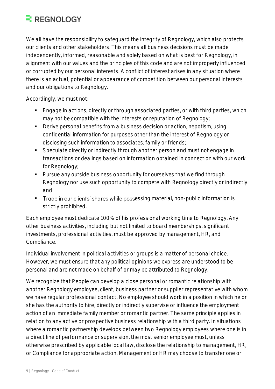We all have the responsibility to safeguard the integrity of Regnology, which also protects our clients and other stakeholders. This means all business decisions must be made independently, informed, reasonable and solely based on what is best for Regnology, in alignment with our values and the principles of this code and are not improperly influenced or corrupted by our personal interests. A conflict of interest arises in any situation where there is an actual, potential or appearance of competition between our personal interests and our obligations to Regnology.

Accordingly, we must not:

- Engage in actions, directly or through associated parties, or with third parties, which may not be compatible with the interests or reputation of Regnology;
- Derive personal benefits from a business decision or action, nepotism, using confidential information for purposes other than the interest of Regnology or disclosing such information to associates, family or friends;
- Speculate directly or indirectly through another person and must not engage in transactions or dealings based on information obtained in connection with our work for Regnology;
- Pursue any outside business opportunity for ourselves that we find through Regnology nor use such opportunity to compete with Regnology directly or indirectly and
- **Trade in our clients' shares while possessing material, non-public information is** strictly prohibited.

Each employee must dedicate 100% of his professional working time to Regnology. Any other business activities, including but not limited to board memberships, significant investments, professional activities, must be approved by management, HR, and Compliance.

Individual involvement in political activities or groups is a matter of personal choice. However, we must ensure that any political opinions we express are understood to be personal and are not made on behalf of or may be attributed to Regnology.

We recognize that People can develop a close personal or romantic relationship with another Regnology employee, client, business partner or supplier representative with whom we have regular professional contact. No employee should work in a position in which he or she has the authority to hire, directly or indirectly supervise or influence the employment action of an immediate family member or romantic partner. The same principle applies in relation to any active or prospective business relationship with a third party. In situations where a romantic partnership develops between two Regnology employees where one is in a direct line of performance or supervision, the most senior employee must, unless otherwise prescribed by applicable local law, disclose the relationship to management, HR, or Compliance for appropriate action. Management or HR may choose to transfer one or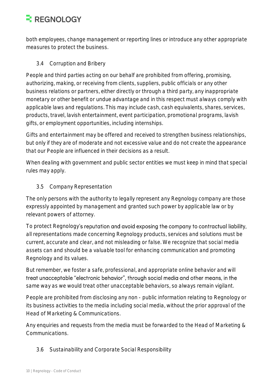both employees, change management or reporting lines or introduce any other appropriate measures to protect the business.

<span id="page-9-0"></span>3.4 Corruption and Bribery

People and third parties acting on our behalf are prohibited from offering, promising, authorizing, making, or receiving from clients, suppliers, public officials or any other business relations or partners, either directly or through a third party, any inappropriate monetary or other benefit or undue advantage and in this respect must always comply with applicable laws and regulations. This may include cash, cash equivalents, shares, services, products, travel, lavish entertainment, event participation, promotional programs, lavish gifts, or employment opportunities, including internships.

Gifts and entertainment may be offered and received to strengthen business relationships, but only if they are of moderate and not excessive value and do not create the appearance that our People are influenced in their decisions as a result.

When dealing with government and public sector entities we must keep in mind that special rules may apply.

#### <span id="page-9-1"></span>3.5 Company Representation

The only persons with the authority to legally represent any Regnology company are those expressly appointed by management and granted such power by applicable law or by relevant powers of attorney.

To protect Regnology's reputation and avoid exposing the company to contractual liability. all representations made concerning Regnology products, services and solutions must be current, accurate and clear, and not misleading or false. We recognize that social media assets can and should be a valuable tool for enhancing communication and promoting Regnology and its values.

But remember, we foster a safe, professional, and appropriate online behavior and will treat unacceptable "electronic behavior", through social media and other means, in the same way as we would treat other unacceptable behaviors, so always remain vigilant.

People are prohibited from disclosing any non - public information relating to Regnology or its business activities to the media including social media, without the prior approval of the Head of Marketing & Communications.

Any enquiries and requests from the media must be forwarded to the Head of Marketing & Communications.

<span id="page-9-2"></span>3.6 Sustainability and Corporate Social Responsibility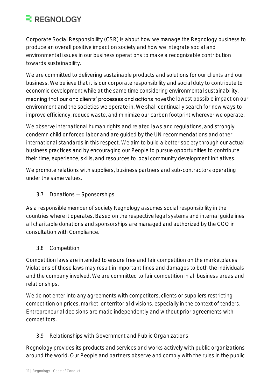Corporate Social Responsibility (CSR) is about how we manage the Regnology business to produce an overall positive impact on society and how we integrate social and environmental issues in our business operations to make a recognizable contribution towards sustainability.

We are committed to delivering sustainable products and solutions for our clients and our business. We believe that it is our corporate responsibility and social duty to contribute to economic development while at the same time considering environmental sustainability, meaning that our and clients' processes and actions have the lowest possible impact on our environment and the societies we operate in. We shall continually search for new ways to improve efficiency, reduce waste, and minimize our carbon footprint wherever we operate.

We observe international human rights and related laws and regulations, and strongly condemn child or forced labor and are guided by the UN recommendations and other international standards in this respect. We aim to build a better society through our actual business practices and by encouraging our People to pursue opportunities to contribute their time, experience, skills, and resources to local community development initiatives.

We promote relations with suppliers, business partners and sub-contractors operating under the same values.

<span id="page-10-0"></span> $3.7$  Donations  $-$  Sponsorships

As a responsible member of society Regnology assumes social responsibility in the countries where it operates. Based on the respective legal systems and internal guidelines all charitable donations and sponsorships are managed and authorized by the COO in consultation with Compliance.

<span id="page-10-1"></span>3.8 Competition

Competition laws are intended to ensure free and fair competition on the marketplaces. Violations of those laws may result in important fines and damages to both the individuals and the company involved. We are committed to fair competition in all business areas and relationships.

We do not enter into any agreements with competitors, clients or suppliers restricting competition on prices, market, or territorial divisions, especially in the context of tenders. Entrepreneurial decisions are made independently and without prior agreements with competitors.

#### <span id="page-10-2"></span>3.9 Relationships with Government and Public Organizations

Regnology provides its products and services and works actively with public organizations around the world. Our People and partners observe and comply with the rules in the public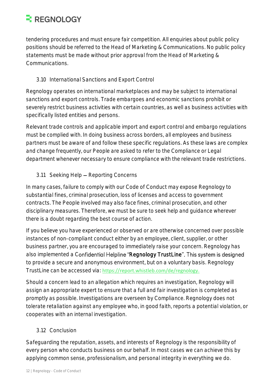tendering procedures and must ensure fair competition. All enquiries about public policy positions should be referred to the Head of Marketing & Communications. No public policy statements must be made without prior approval from the Head of Marketing & Communications.

#### <span id="page-11-0"></span>3.10 International Sanctions and Export Control

Regnology operates on international marketplaces and may be subject to international sanctions and export controls. Trade embargoes and economic sanctions prohibit or severely restrict business activities with certain countries, as well as business activities with specifically listed entities and persons.

Relevant trade controls and applicable import and export control and embargo regulations must be complied with. In doing business across borders, all employees and business partners must be aware of and follow these specific regulations. As these laws are complex and change frequently, our People are asked to refer to the Compliance or Legal department whenever necessary to ensure compliance with the relevant trade restrictions.

#### <span id="page-11-1"></span>3.11 Seeking Help - Reporting Concerns

In many cases, failure to comply with our Code of Conduct may expose Regnology to substantial fines, criminal prosecution, loss of licenses and access to government contracts. The People involved may also face fines, criminal prosecution, and other disciplinary measures. Therefore, we must be sure to seek help and guidance wherever there is a doubt regarding the best course of action.

If you believe you have experienced or observed or are otherwise concerned over possible instances of non-compliant conduct either by an employee, client, supplier, or other business partner, you are encouraged to immediately raise your concern. Regnology has also implemented a Confidential Helpline "Regnology TrustLine". This system is designed to provide a secure and anonymous environment, but on a voluntary basis. Regnology TrustLine can be accessed via: [https://report.whistleb.com/de/regnology.](https://report.whistleb.com/de/regnology)

Should a concern lead to an allegation which requires an investigation, Regnology will assign an appropriate expert to ensure that a full and fair investigation is completed as promptly as possible. Investigations are overseen by Compliance. Regnology does not tolerate retaliation against any employee who, in good faith, reports a potential violation, or cooperates with an internal investigation.

#### <span id="page-11-2"></span>3.12 Conclusion

Safeguarding the reputation, assets, and interests of Regnology is the responsibility of every person who conducts business on our behalf. In most cases we can achieve this by applying common sense, professionalism, and personal integrity in everything we do.